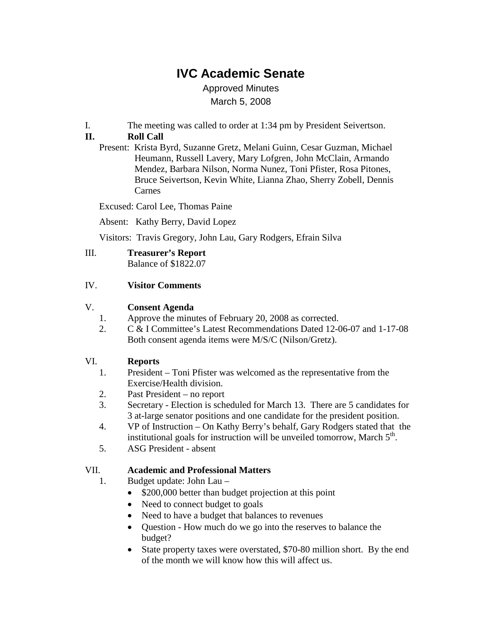# **IVC Academic Senate**

Approved Minutes March 5, 2008

I. The meeting was called to order at 1:34 pm by President Seivertson.

## **II. Roll Call**

Present: Krista Byrd, Suzanne Gretz, Melani Guinn, Cesar Guzman, Michael Heumann, Russell Lavery, Mary Lofgren, John McClain, Armando Mendez, Barbara Nilson, Norma Nunez, Toni Pfister, Rosa Pitones, Bruce Seivertson, Kevin White, Lianna Zhao, Sherry Zobell, Dennis Carnes

Excused: Carol Lee, Thomas Paine

Absent: Kathy Berry, David Lopez

Visitors: Travis Gregory, John Lau, Gary Rodgers, Efrain Silva

III. **Treasurer's Report** Balance of \$1822.07

#### IV. **Visitor Comments**

#### V. **Consent Agenda**

- 1. Approve the minutes of February 20, 2008 as corrected.
- 2. C & I Committee's Latest Recommendations Dated 12-06-07 and 1-17-08 Both consent agenda items were M/S/C (Nilson/Gretz).

## VI. **Reports**

- 1. President Toni Pfister was welcomed as the representative from the Exercise/Health division.
- 2. Past President no report
- 3. Secretary Election is scheduled for March 13. There are 5 candidates for 3 at-large senator positions and one candidate for the president position.
- 4. VP of Instruction On Kathy Berry's behalf, Gary Rodgers stated that the institutional goals for instruction will be unveiled tomorrow, March  $5<sup>th</sup>$ .
- 5. ASG President absent

## VII. **Academic and Professional Matters**

1. Budget update: John Lau –

- \$200,000 better than budget projection at this point
- Need to connect budget to goals
- Need to have a budget that balances to revenues
- Question How much do we go into the reserves to balance the budget?
- State property taxes were overstated, \$70-80 million short. By the end of the month we will know how this will affect us.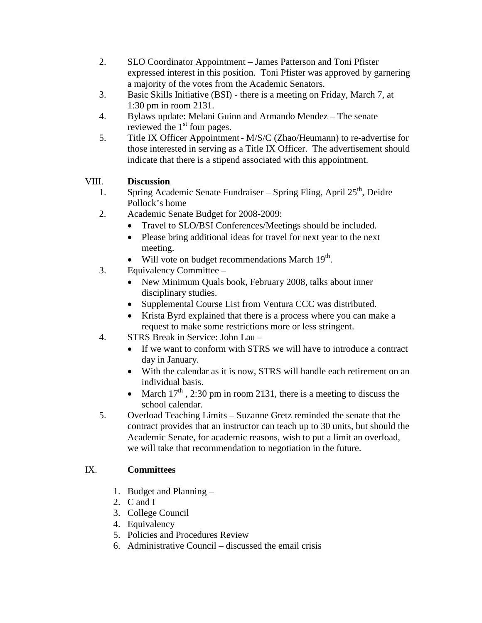- 2. SLO Coordinator Appointment James Patterson and Toni Pfister expressed interest in this position. Toni Pfister was approved by garnering a majority of the votes from the Academic Senators.
- 3. Basic Skills Initiative (BSI) there is a meeting on Friday, March 7, at 1:30 pm in room 2131.
- 4. Bylaws update: Melani Guinn and Armando Mendez The senate reviewed the  $1<sup>st</sup>$  four pages.
- 5. Title IX Officer Appointment- M/S/C (Zhao/Heumann) to re-advertise for those interested in serving as a Title IX Officer. The advertisement should indicate that there is a stipend associated with this appointment.

## VIII. **Discussion**

- 1. Spring Academic Senate Fundraiser Spring Fling, April  $25<sup>th</sup>$ , Deidre Pollock's home
- 2. Academic Senate Budget for 2008-2009:
	- Travel to SLO/BSI Conferences/Meetings should be included.
	- Please bring additional ideas for travel for next year to the next meeting.
	- Will vote on budget recommendations March  $19<sup>th</sup>$ .
- 3. Equivalency Committee
	- New Minimum Quals book, February 2008, talks about inner disciplinary studies.
	- Supplemental Course List from Ventura CCC was distributed.
	- Krista Byrd explained that there is a process where you can make a request to make some restrictions more or less stringent.
- 4. STRS Break in Service: John Lau
	- If we want to conform with STRS we will have to introduce a contract day in January.
	- With the calendar as it is now, STRS will handle each retirement on an individual basis.
	- March  $17<sup>th</sup>$ , 2:30 pm in room 2131, there is a meeting to discuss the school calendar.
- 5. Overload Teaching Limits Suzanne Gretz reminded the senate that the contract provides that an instructor can teach up to 30 units, but should the Academic Senate, for academic reasons, wish to put a limit an overload, we will take that recommendation to negotiation in the future.

## IX. **Committees**

- 1. Budget and Planning –
- 2. C and I
- 3. College Council
- 4. Equivalency
- 5. Policies and Procedures Review
- 6. Administrative Council discussed the email crisis